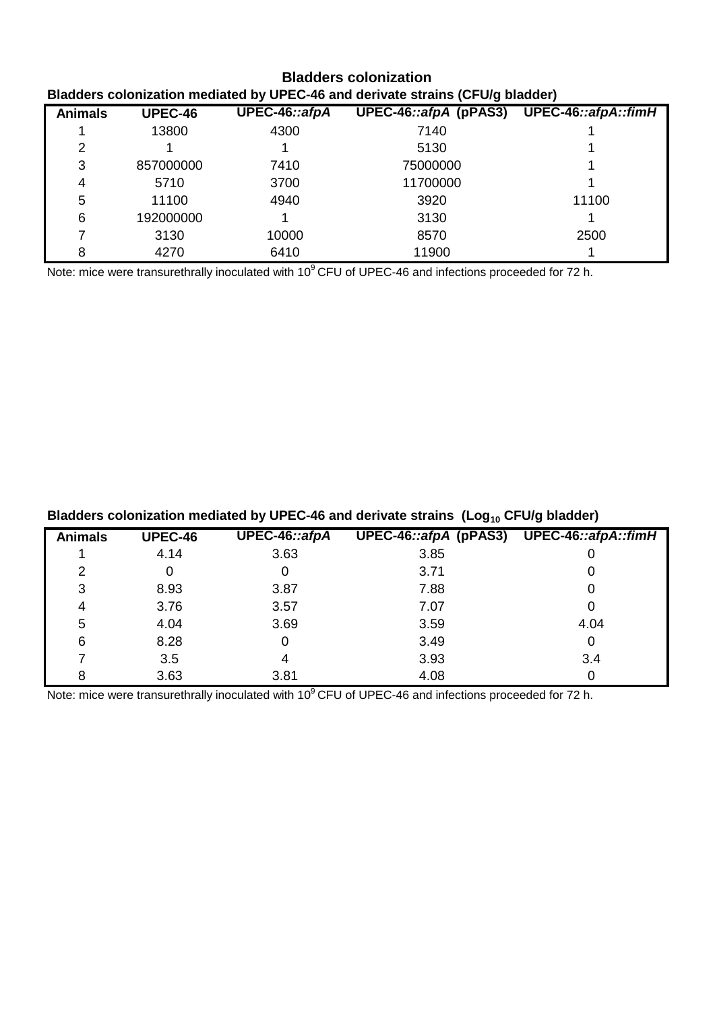| <b>Bladders colonization</b>                                                   |                |               |                                           |       |  |
|--------------------------------------------------------------------------------|----------------|---------------|-------------------------------------------|-------|--|
| Bladders colonization mediated by UPEC-46 and derivate strains (CFU/g bladder) |                |               |                                           |       |  |
| <b>Animals</b>                                                                 | <b>UPEC-46</b> | UPEC-46::afpA | UPEC-46::afpA (pPAS3) UPEC-46::afpA::fimH |       |  |
|                                                                                | 13800          | 4300          | 7140                                      |       |  |
| 2                                                                              |                |               | 5130                                      |       |  |
| 3                                                                              | 857000000      | 7410          | 75000000                                  |       |  |
| 4                                                                              | 5710           | 3700          | 11700000                                  |       |  |
| 5                                                                              | 11100          | 4940          | 3920                                      | 11100 |  |
| 6                                                                              | 192000000      |               | 3130                                      |       |  |
|                                                                                | 3130           | 10000         | 8570                                      | 2500  |  |
| 8                                                                              | 4270           | 6410          | 11900                                     |       |  |

Note: mice were transurethrally inoculated with 10<sup>9</sup> CFU of UPEC-46 and infections proceeded for 72 h.

# **Bladders colonization mediated by UPEC-46 and derivate strains (Log10 CFU/g bladder)**

| <b>Animals</b> | <b>UPEC-46</b> | UPEC-46::afpA | UPEC-46::afpA (pPAS3) | UPEC-46::afpA::fimH |
|----------------|----------------|---------------|-----------------------|---------------------|
|                | 4.14           | 3.63          | 3.85                  |                     |
| 2              |                |               | 3.71                  |                     |
| 3              | 8.93           | 3.87          | 7.88                  | 0                   |
| 4              | 3.76           | 3.57          | 7.07                  | 0                   |
| 5              | 4.04           | 3.69          | 3.59                  | 4.04                |
| 6              | 8.28           | 0             | 3.49                  | 0                   |
|                | 3.5            | 4             | 3.93                  | 3.4                 |
| 8              | 3.63           | 3.81          | 4.08                  |                     |

Note: mice were transurethrally inoculated with 10<sup>9</sup> CFU of UPEC-46 and infections proceeded for 72 h.